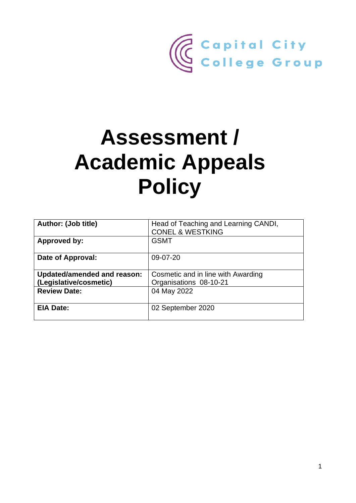

# **Assessment / Academic Appeals Policy**

| Author: (Job title)                | Head of Teaching and Learning CANDI,<br><b>CONEL &amp; WESTKING</b> |
|------------------------------------|---------------------------------------------------------------------|
| <b>Approved by:</b>                | <b>GSMT</b>                                                         |
| Date of Approval:                  | 09-07-20                                                            |
| <b>Updated/amended and reason:</b> | Cosmetic and in line with Awarding                                  |
|                                    |                                                                     |
| (Legislative/cosmetic)             | Organisations 08-10-21                                              |
| <b>Review Date:</b>                | 04 May 2022                                                         |
|                                    |                                                                     |
| <b>EIA Date:</b>                   | 02 September 2020                                                   |
|                                    |                                                                     |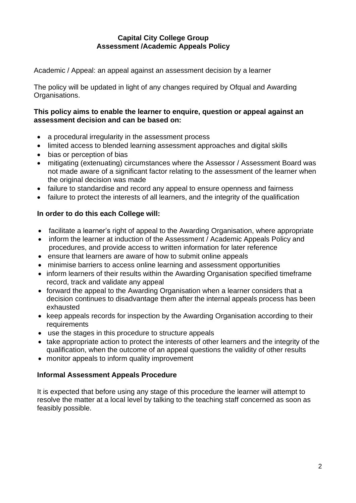## **Capital City College Group Assessment /Academic Appeals Policy**

Academic / Appeal: an appeal against an assessment decision by a learner

The policy will be updated in light of any changes required by Ofqual and Awarding Organisations.

## **This policy aims to enable the learner to enquire, question or appeal against an assessment decision and can be based on:**

- a procedural irregularity in the assessment process
- limited access to blended learning assessment approaches and digital skills
- bias or perception of bias
- mitigating (extenuating) circumstances where the Assessor / Assessment Board was not made aware of a significant factor relating to the assessment of the learner when the original decision was made
- failure to standardise and record any appeal to ensure openness and fairness
- failure to protect the interests of all learners, and the integrity of the qualification

## **In order to do this each College will:**

- facilitate a learner's right of appeal to the Awarding Organisation, where appropriate
- inform the learner at induction of the Assessment / Academic Appeals Policy and procedures, and provide access to written information for later reference
- ensure that learners are aware of how to submit online appeals
- minimise barriers to access online learning and assessment opportunities
- inform learners of their results within the Awarding Organisation specified timeframe record, track and validate any appeal
- forward the appeal to the Awarding Organisation when a learner considers that a decision continues to disadvantage them after the internal appeals process has been exhausted
- keep appeals records for inspection by the Awarding Organisation according to their requirements
- use the stages in this procedure to structure appeals
- take appropriate action to protect the interests of other learners and the integrity of the qualification, when the outcome of an appeal questions the validity of other results
- monitor appeals to inform quality improvement

#### **Informal Assessment Appeals Procedure**

It is expected that before using any stage of this procedure the learner will attempt to resolve the matter at a local level by talking to the teaching staff concerned as soon as feasibly possible.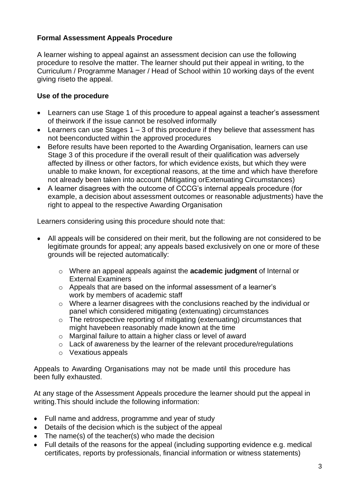## **Formal Assessment Appeals Procedure**

A learner wishing to appeal against an assessment decision can use the following procedure to resolve the matter. The learner should put their appeal in writing, to the Curriculum / Programme Manager / Head of School within 10 working days of the event giving riseto the appeal.

## **Use of the procedure**

- Learners can use Stage 1 of this procedure to appeal against a teacher's assessment of theirwork if the issue cannot be resolved informally
- Learners can use Stages  $1 3$  of this procedure if they believe that assessment has not been conducted within the approved procedures
- Before results have been reported to the Awarding Organisation, learners can use Stage 3 of this procedure if the overall result of their qualification was adversely affected by illness or other factors, for which evidence exists, but which they were unable to make known, for exceptional reasons, at the time and which have therefore not already been taken into account (Mitigating orExtenuating Circumstances)
- A learner disagrees with the outcome of CCCG's internal appeals procedure (for example, a decision about assessment outcomes or reasonable adjustments) have the right to appeal to the respective Awarding Organisation

Learners considering using this procedure should note that:

- All appeals will be considered on their merit, but the following are not considered to be legitimate grounds for appeal; any appeals based exclusively on one or more of these grounds will be rejected automatically:
	- o Where an appeal appeals against the **academic judgment** of Internal or External Examiners
	- o Appeals that are based on the informal assessment of a learner's work by members of academic staff
	- o Where a learner disagrees with the conclusions reached by the individual or panel which considered mitigating (extenuating) circumstances
	- o The retrospective reporting of mitigating (extenuating) circumstances that might havebeen reasonably made known at the time
	- o Marginal failure to attain a higher class or level of award
	- o Lack of awareness by the learner of the relevant procedure/regulations
	- o Vexatious appeals

Appeals to Awarding Organisations may not be made until this procedure has been fully exhausted.

At any stage of the Assessment Appeals procedure the learner should put the appeal in writing.This should include the following information:

- Full name and address, programme and year of study
- Details of the decision which is the subject of the appeal
- The name(s) of the teacher(s) who made the decision
- Full details of the reasons for the appeal (including supporting evidence e.g. medical certificates, reports by professionals, financial information or witness statements)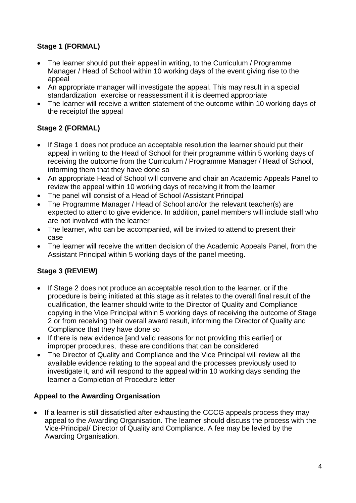# **Stage 1 (FORMAL)**

- The learner should put their appeal in writing, to the Curriculum / Programme Manager / Head of School within 10 working days of the event giving rise to the appeal
- An appropriate manager will investigate the appeal. This may result in a special standardization exercise or reassessment if it is deemed appropriate
- The learner will receive a written statement of the outcome within 10 working days of the receiptof the appeal

# **Stage 2 (FORMAL)**

- If Stage 1 does not produce an acceptable resolution the learner should put their appeal in writing to the Head of School for their programme within 5 working days of receiving the outcome from the Curriculum / Programme Manager / Head of School, informing them that they have done so
- An appropriate Head of School will convene and chair an Academic Appeals Panel to review the appeal within 10 working days of receiving it from the learner
- The panel will consist of a Head of School /Assistant Principal
- The Programme Manager / Head of School and/or the relevant teacher(s) are expected to attend to give evidence. In addition, panel members will include staff who are not involved with the learner
- The learner, who can be accompanied, will be invited to attend to present their case
- The learner will receive the written decision of the Academic Appeals Panel, from the Assistant Principal within 5 working days of the panel meeting.

# **Stage 3 (REVIEW)**

- If Stage 2 does not produce an acceptable resolution to the learner, or if the procedure is being initiated at this stage as it relates to the overall final result of the qualification, the learner should write to the Director of Quality and Compliance copying in the Vice Principal within 5 working days of receiving the outcome of Stage 2 or from receiving their overall award result, informing the Director of Quality and Compliance that they have done so
- If there is new evidence [and valid reasons for not providing this earlier] or improper procedures, these are conditions that can be considered
- The Director of Quality and Compliance and the Vice Principal will review all the available evidence relating to the appeal and the processes previously used to investigate it, and will respond to the appeal within 10 working days sending the learner a Completion of Procedure letter

## **Appeal to the Awarding Organisation**

• If a learner is still dissatisfied after exhausting the CCCG appeals process they may appeal to the Awarding Organisation. The learner should discuss the process with the Vice-Principal/ Director of Quality and Compliance. A fee may be levied by the Awarding Organisation.